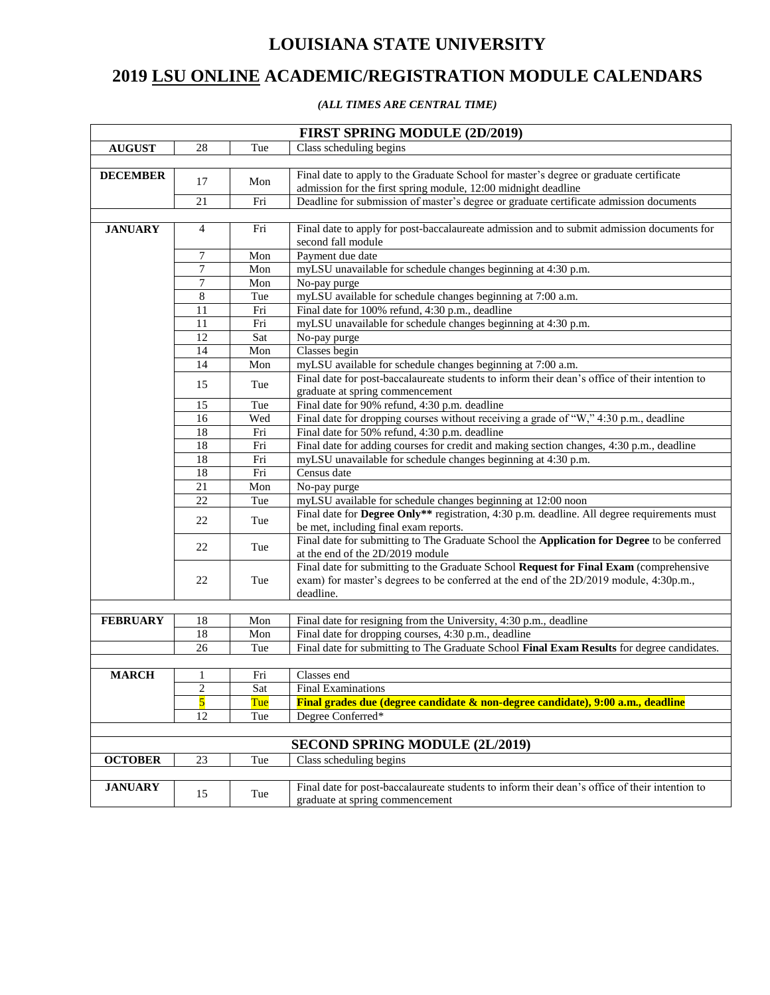## **LOUISIANA STATE UNIVERSITY**

## **2019 LSU ONLINE ACADEMIC/REGISTRATION MODULE CALENDARS**

## *(ALL TIMES ARE CENTRAL TIME)*

|                 |                         |                           | FIRST SPRING MODULE (2D/2019)                                                                                                     |
|-----------------|-------------------------|---------------------------|-----------------------------------------------------------------------------------------------------------------------------------|
| <b>AUGUST</b>   | 28                      | Tue                       | Class scheduling begins                                                                                                           |
|                 |                         |                           |                                                                                                                                   |
| <b>DECEMBER</b> | 17                      | Mon                       | Final date to apply to the Graduate School for master's degree or graduate certificate                                            |
|                 |                         |                           | admission for the first spring module, 12:00 midnight deadline                                                                    |
|                 | 21                      | Fri                       | Deadline for submission of master's degree or graduate certificate admission documents                                            |
|                 |                         |                           |                                                                                                                                   |
| <b>JANUARY</b>  | 4                       | Fri                       | Final date to apply for post-baccalaureate admission and to submit admission documents for                                        |
|                 |                         |                           | second fall module                                                                                                                |
|                 | 7                       | Mon                       | Payment due date                                                                                                                  |
|                 | $\overline{7}$          | Mon                       | myLSU unavailable for schedule changes beginning at 4:30 p.m.                                                                     |
|                 | 7                       | Mon                       | No-pay purge                                                                                                                      |
|                 | $\overline{8}$          | Tue                       | myLSU available for schedule changes beginning at 7:00 a.m.                                                                       |
|                 | 11                      | Fri                       | Final date for 100% refund, 4:30 p.m., deadline                                                                                   |
|                 | 11                      | Fri                       | myLSU unavailable for schedule changes beginning at 4:30 p.m.                                                                     |
|                 | 12                      | Sat                       | No-pay purge                                                                                                                      |
|                 | 14                      | $\overline{\mathrm{Mon}}$ | Classes begin                                                                                                                     |
|                 | 14                      | Mon                       | myLSU available for schedule changes beginning at 7:00 a.m.                                                                       |
|                 | 15                      | Tue                       | Final date for post-baccalaureate students to inform their dean's office of their intention to<br>graduate at spring commencement |
|                 | 15                      | Tue                       | Final date for 90% refund, 4:30 p.m. deadline                                                                                     |
|                 | 16                      | Wed                       | Final date for dropping courses without receiving a grade of "W," 4:30 p.m., deadline                                             |
|                 | 18                      | Fri                       | Final date for 50% refund, 4:30 p.m. deadline                                                                                     |
|                 | 18                      | Fri                       | Final date for adding courses for credit and making section changes, 4:30 p.m., deadline                                          |
|                 | 18                      | Fri                       | myLSU unavailable for schedule changes beginning at 4:30 p.m.                                                                     |
|                 | 18                      | Fri                       | Census date                                                                                                                       |
|                 | 21                      | Mon                       | No-pay purge                                                                                                                      |
|                 | 22                      | Tue                       | myLSU available for schedule changes beginning at 12:00 noon                                                                      |
|                 |                         |                           | Final date for Degree Only** registration, 4:30 p.m. deadline. All degree requirements must                                       |
|                 | 22                      | Tue                       | be met, including final exam reports.                                                                                             |
|                 | 22                      |                           | Final date for submitting to The Graduate School the Application for Degree to be conferred                                       |
|                 |                         | Tue                       | at the end of the 2D/2019 module                                                                                                  |
|                 |                         |                           | Final date for submitting to the Graduate School Request for Final Exam (comprehensive                                            |
|                 | 22                      | Tue                       | exam) for master's degrees to be conferred at the end of the 2D/2019 module, 4:30p.m.,                                            |
|                 |                         |                           | deadline.                                                                                                                         |
|                 |                         |                           |                                                                                                                                   |
| <b>FEBRUARY</b> | 18                      | Mon                       | Final date for resigning from the University, 4:30 p.m., deadline                                                                 |
|                 | 18                      | Mon                       | Final date for dropping courses, 4:30 p.m., deadline                                                                              |
|                 | 26                      | Tue                       | Final date for submitting to The Graduate School Final Exam Results for degree candidates.                                        |
| <b>MARCH</b>    |                         | Fri                       | Classes end                                                                                                                       |
|                 | 1<br>$\overline{2}$     | Sat                       | <b>Final Examinations</b>                                                                                                         |
|                 | $\overline{\mathbf{5}}$ | Tue                       | Final grades due (degree candidate & non-degree candidate), 9:00 a.m., deadline                                                   |
|                 | 12                      | Tue                       | Degree Conferred*                                                                                                                 |
|                 |                         |                           |                                                                                                                                   |
|                 |                         |                           | <b>SECOND SPRING MODULE (2L/2019)</b>                                                                                             |
| <b>OCTOBER</b>  | 23                      | Tue                       | Class scheduling begins                                                                                                           |
|                 |                         |                           |                                                                                                                                   |
| <b>JANUARY</b>  |                         |                           | Final date for post-baccalaureate students to inform their dean's office of their intention to                                    |
|                 | 15                      | Tue                       | graduate at spring commencement                                                                                                   |
|                 |                         |                           |                                                                                                                                   |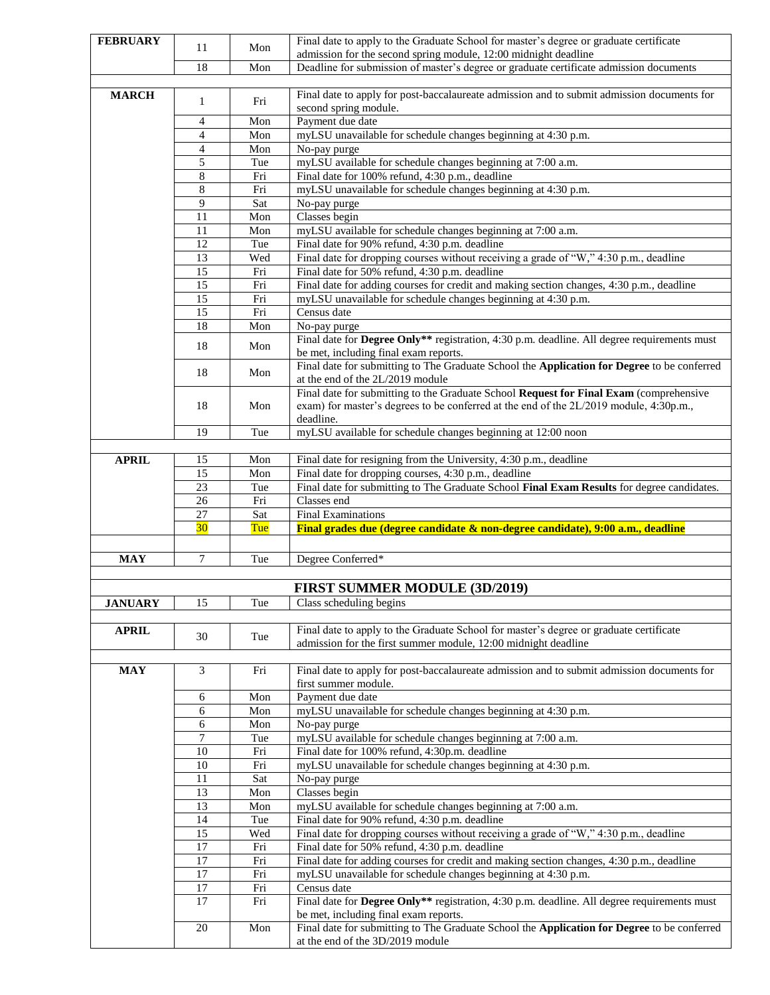| <b>FEBRUARY</b> |                |            | Final date to apply to the Graduate School for master's degree or graduate certificate                                               |
|-----------------|----------------|------------|--------------------------------------------------------------------------------------------------------------------------------------|
|                 | 11             | Mon        | admission for the second spring module, 12:00 midnight deadline                                                                      |
|                 | 18             | Mon        | Deadline for submission of master's degree or graduate certificate admission documents                                               |
|                 |                |            |                                                                                                                                      |
| <b>MARCH</b>    | $\mathbf{1}$   | Fri        | Final date to apply for post-baccalaureate admission and to submit admission documents for                                           |
|                 |                |            | second spring module.                                                                                                                |
|                 | 4              | Mon        | Payment due date                                                                                                                     |
|                 | $\overline{4}$ | Mon        | myLSU unavailable for schedule changes beginning at 4:30 p.m.                                                                        |
|                 | $\overline{4}$ | Mon        | No-pay purge                                                                                                                         |
|                 | 5              | Tue        | myLSU available for schedule changes beginning at 7:00 a.m.                                                                          |
|                 | 8              | Fri        | Final date for 100% refund, 4:30 p.m., deadline<br>myLSU unavailable for schedule changes beginning at 4:30 p.m.                     |
|                 | 8<br>9         | Fri<br>Sat | No-pay purge                                                                                                                         |
|                 | 11             | Mon        | Classes begin                                                                                                                        |
|                 | 11             | Mon        | myLSU available for schedule changes beginning at 7:00 a.m.                                                                          |
|                 | 12             | Tue        | Final date for 90% refund, 4:30 p.m. deadline                                                                                        |
|                 | 13             | Wed        | Final date for dropping courses without receiving a grade of "W," 4:30 p.m., deadline                                                |
|                 | 15             | Fri        | Final date for 50% refund, 4:30 p.m. deadline                                                                                        |
|                 | 15             | Fri        | Final date for adding courses for credit and making section changes, 4:30 p.m., deadline                                             |
|                 | 15             | Fri        | myLSU unavailable for schedule changes beginning at 4:30 p.m.                                                                        |
|                 | 15             | Fri        | Census date                                                                                                                          |
|                 | 18             | Mon        | No-pay purge                                                                                                                         |
|                 | 18             | Mon        | Final date for Degree Only** registration, 4:30 p.m. deadline. All degree requirements must                                          |
|                 |                |            | be met, including final exam reports.                                                                                                |
|                 | 18             | Mon        | Final date for submitting to The Graduate School the Application for Degree to be conferred                                          |
|                 |                |            | at the end of the 2L/2019 module                                                                                                     |
|                 |                |            | Final date for submitting to the Graduate School Request for Final Exam (comprehensive                                               |
|                 | 18             | Mon        | exam) for master's degrees to be conferred at the end of the 2L/2019 module, 4:30p.m.,<br>deadline.                                  |
|                 | 19             | Tue        | myLSU available for schedule changes beginning at 12:00 noon                                                                         |
|                 |                |            |                                                                                                                                      |
| <b>APRIL</b>    | 15             | Mon        | Final date for resigning from the University, 4:30 p.m., deadline                                                                    |
|                 | 15             | Mon        | Final date for dropping courses, 4:30 p.m., deadline                                                                                 |
|                 | 23             | Tue        | Final date for submitting to The Graduate School Final Exam Results for degree candidates.                                           |
|                 | 26             | Fri        | Classes end                                                                                                                          |
|                 | $27\,$         | Sat        | <b>Final Examinations</b>                                                                                                            |
|                 | 30             | Tue        | Final grades due (degree candidate & non-degree candidate), 9:00 a.m., deadline                                                      |
|                 |                |            |                                                                                                                                      |
| <b>MAY</b>      | 7              | Tue        | Degree Conferred*                                                                                                                    |
|                 |                |            |                                                                                                                                      |
|                 |                |            | <b>FIRST SUMMER MODULE (3D/2019)</b>                                                                                                 |
| <b>JANUARY</b>  | 15             | Tue        | Class scheduling begins                                                                                                              |
|                 |                |            |                                                                                                                                      |
| <b>APRIL</b>    | 30             | Tue        | Final date to apply to the Graduate School for master's degree or graduate certificate                                               |
|                 |                |            | admission for the first summer module, 12:00 midnight deadline                                                                       |
| <b>MAY</b>      | 3              | Fri        | Final date to apply for post-baccalaureate admission and to submit admission documents for                                           |
|                 |                |            | first summer module.                                                                                                                 |
|                 | 6              | Mon        | Payment due date                                                                                                                     |
|                 | 6              | Mon        | myLSU unavailable for schedule changes beginning at 4:30 p.m.                                                                        |
|                 | 6              | Mon        | No-pay purge                                                                                                                         |
|                 | 7              | Tue        | myLSU available for schedule changes beginning at 7:00 a.m.                                                                          |
|                 | 10             | Fri        | Final date for 100% refund, 4:30p.m. deadline                                                                                        |
|                 |                |            |                                                                                                                                      |
|                 | 10             | Fri        | myLSU unavailable for schedule changes beginning at 4:30 p.m.                                                                        |
|                 | 11             | Sat        | No-pay purge                                                                                                                         |
|                 | 13             | Mon        | Classes begin                                                                                                                        |
|                 | 13             | Mon        | myLSU available for schedule changes beginning at 7:00 a.m.                                                                          |
|                 | 14             | Tue        | Final date for 90% refund, 4:30 p.m. deadline                                                                                        |
|                 | 15             | Wed        | Final date for dropping courses without receiving a grade of "W," 4:30 p.m., deadline                                                |
|                 | 17             | Fri        | Final date for 50% refund, 4:30 p.m. deadline                                                                                        |
|                 | 17             | Fri        | Final date for adding courses for credit and making section changes, 4:30 p.m., deadline                                             |
|                 | 17             | Fri        | myLSU unavailable for schedule changes beginning at 4:30 p.m.                                                                        |
|                 | 17             | Fri        | Census date                                                                                                                          |
|                 | 17             | Fri        | Final date for Degree Only** registration, 4:30 p.m. deadline. All degree requirements must                                          |
|                 | 20             | Mon        | be met, including final exam reports.<br>Final date for submitting to The Graduate School the Application for Degree to be conferred |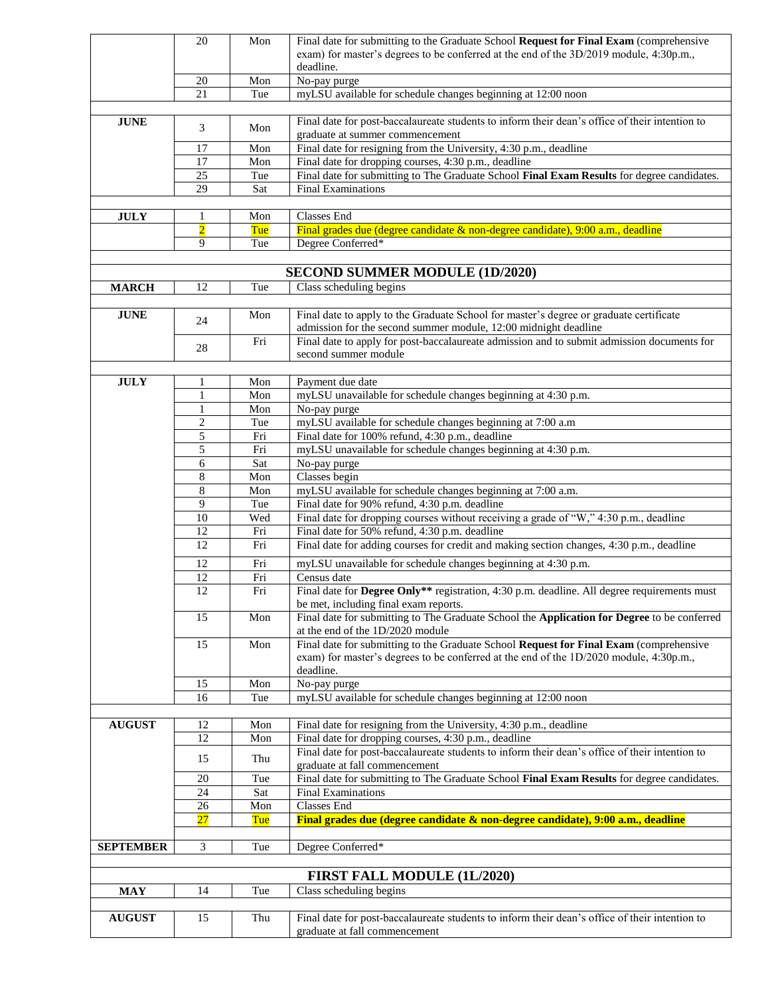|                  | 20              | Mon        | Final date for submitting to the Graduate School Request for Final Exam (comprehensive                                                                    |
|------------------|-----------------|------------|-----------------------------------------------------------------------------------------------------------------------------------------------------------|
|                  |                 |            | exam) for master's degrees to be conferred at the end of the 3D/2019 module, 4:30p.m.,                                                                    |
|                  |                 |            | deadline.                                                                                                                                                 |
|                  | 20              | Mon        | No-pay purge                                                                                                                                              |
|                  | 21              | Tue        | myLSU available for schedule changes beginning at 12:00 noon                                                                                              |
| <b>JUNE</b>      |                 |            | Final date for post-baccalaureate students to inform their dean's office of their intention to                                                            |
|                  | 3               | Mon        | graduate at summer commencement                                                                                                                           |
|                  | 17              | Mon        | Final date for resigning from the University, 4:30 p.m., deadline                                                                                         |
|                  | 17              | Mon        | Final date for dropping courses, 4:30 p.m., deadline                                                                                                      |
|                  | 25              | Tue        | Final date for submitting to The Graduate School Final Exam Results for degree candidates.                                                                |
|                  | $\overline{29}$ | Sat        | <b>Final Examinations</b>                                                                                                                                 |
|                  |                 |            |                                                                                                                                                           |
| <b>JULY</b>      | 1               | Mon        | Classes End                                                                                                                                               |
|                  | $\overline{2}$  | Tue        | Final grades due (degree candidate & non-degree candidate), 9:00 a.m., deadline                                                                           |
|                  | 9               | Tue        | Degree Conferred*                                                                                                                                         |
|                  |                 |            |                                                                                                                                                           |
|                  |                 |            | <b>SECOND SUMMER MODULE (1D/2020)</b>                                                                                                                     |
| <b>MARCH</b>     | 12              | Tue        | Class scheduling begins                                                                                                                                   |
|                  |                 |            |                                                                                                                                                           |
| <b>JUNE</b>      | 24              | Mon        | Final date to apply to the Graduate School for master's degree or graduate certificate<br>admission for the second summer module, 12:00 midnight deadline |
|                  |                 | Fri        | Final date to apply for post-baccalaureate admission and to submit admission documents for                                                                |
|                  | 28              |            | second summer module                                                                                                                                      |
|                  |                 |            |                                                                                                                                                           |
| <b>JULY</b>      | 1               | Mon        | Payment due date                                                                                                                                          |
|                  | $\mathbf{1}$    | Mon        | myLSU unavailable for schedule changes beginning at 4:30 p.m.                                                                                             |
|                  | 1               | Mon        | No-pay purge                                                                                                                                              |
|                  | $\overline{2}$  | Tue        | myLSU available for schedule changes beginning at 7:00 a.m                                                                                                |
|                  | 5               | Fri        | Final date for 100% refund, 4:30 p.m., deadline                                                                                                           |
|                  | 5               | Fri        | myLSU unavailable for schedule changes beginning at 4:30 p.m.                                                                                             |
|                  | 6               | Sat        | No-pay purge                                                                                                                                              |
|                  | 8               | Mon        | Classes begin                                                                                                                                             |
|                  | 8               | Mon        | myLSU available for schedule changes beginning at 7:00 a.m.                                                                                               |
|                  | 9               | Tue        | Final date for 90% refund, 4:30 p.m. deadline                                                                                                             |
|                  | 10              | Wed        | Final date for dropping courses without receiving a grade of "W," 4:30 p.m., deadline                                                                     |
|                  | 12<br>12        | Fri<br>Fri | Final date for 50% refund, 4:30 p.m. deadline<br>Final date for adding courses for credit and making section changes, 4:30 p.m., deadline                 |
|                  |                 |            |                                                                                                                                                           |
|                  | 12              | Fri        | myLSU unavailable for schedule changes beginning at 4:30 p.m.                                                                                             |
|                  | 12              | Fri        | Census date                                                                                                                                               |
|                  | 12              | Fri        | Final date for Degree Only** registration, 4:30 p.m. deadline. All degree requirements must<br>be met, including final exam reports.                      |
|                  | 15              | Mon        | Final date for submitting to The Graduate School the Application for Degree to be conferred                                                               |
|                  |                 |            | at the end of the 1D/2020 module                                                                                                                          |
|                  | 15              | Mon        | Final date for submitting to the Graduate School Request for Final Exam (comprehensive                                                                    |
|                  |                 |            | exam) for master's degrees to be conferred at the end of the 1D/2020 module, 4:30p.m.,<br>deadline.                                                       |
|                  | 15              | Mon        | No-pay purge                                                                                                                                              |
|                  | 16              | Tue        | myLSU available for schedule changes beginning at 12:00 noon                                                                                              |
|                  |                 |            |                                                                                                                                                           |
| <b>AUGUST</b>    | 12              | Mon        | Final date for resigning from the University, 4:30 p.m., deadline                                                                                         |
|                  | 12              | Mon        | Final date for dropping courses, 4:30 p.m., deadline                                                                                                      |
|                  | 15              | Thu        | Final date for post-baccalaureate students to inform their dean's office of their intention to                                                            |
|                  |                 |            | graduate at fall commencement                                                                                                                             |
|                  | 20              | Tue        | Final date for submitting to The Graduate School Final Exam Results for degree candidates.                                                                |
|                  | 24<br>26        | Sat<br>Mon | <b>Final Examinations</b><br>Classes End                                                                                                                  |
|                  | 27              | Tue        | Final grades due (degree candidate & non-degree candidate), 9:00 a.m., deadline                                                                           |
|                  |                 |            |                                                                                                                                                           |
| <b>SEPTEMBER</b> | 3               | Tue        | Degree Conferred*                                                                                                                                         |
|                  |                 |            |                                                                                                                                                           |
|                  |                 |            | FIRST FALL MODULE (1L/2020)                                                                                                                               |
| <b>MAY</b>       | 14              | Tue        | Class scheduling begins                                                                                                                                   |
|                  |                 |            |                                                                                                                                                           |
| <b>AUGUST</b>    | 15              | Thu        | Final date for post-baccalaureate students to inform their dean's office of their intention to                                                            |
|                  |                 |            | graduate at fall commencement                                                                                                                             |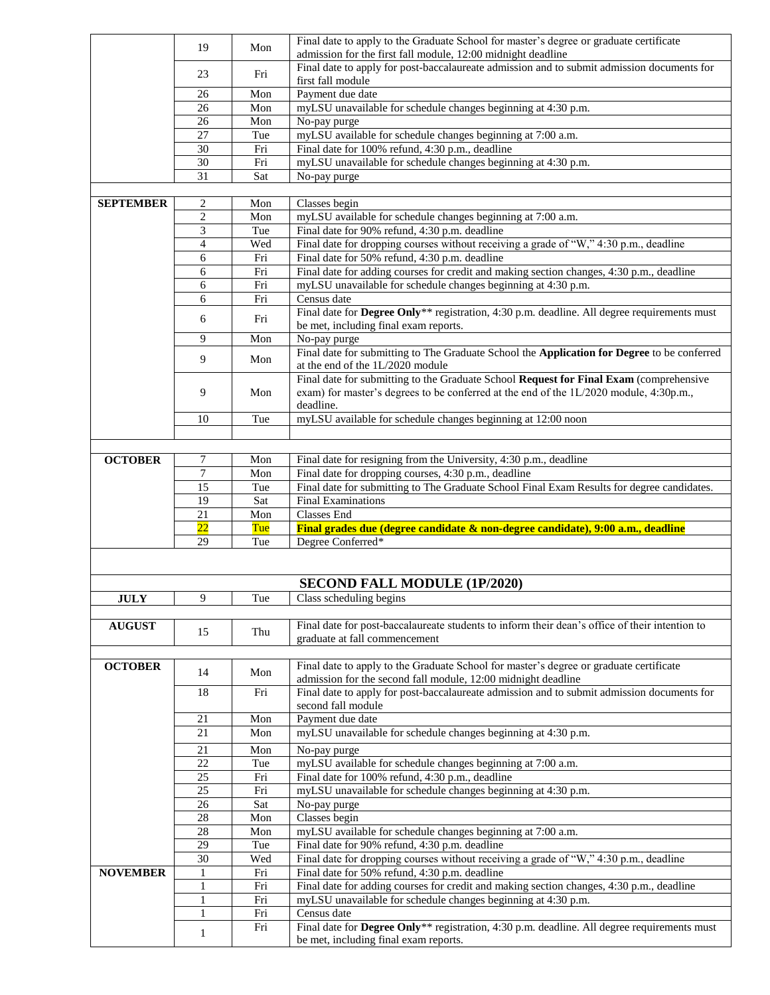|                  | 19                  | Mon        | Final date to apply to the Graduate School for master's degree or graduate certificate                                                 |
|------------------|---------------------|------------|----------------------------------------------------------------------------------------------------------------------------------------|
|                  |                     |            | admission for the first fall module, 12:00 midnight deadline                                                                           |
|                  | 23                  | Fri        | Final date to apply for post-baccalaureate admission and to submit admission documents for<br>first fall module                        |
|                  | 26                  | Mon        | Payment due date                                                                                                                       |
|                  | 26                  | Mon        | myLSU unavailable for schedule changes beginning at 4:30 p.m.                                                                          |
|                  | 26                  | Mon        | No-pay purge                                                                                                                           |
|                  | 27                  | Tue        | myLSU available for schedule changes beginning at 7:00 a.m.                                                                            |
|                  | 30                  | Fri        | Final date for 100% refund, 4:30 p.m., deadline                                                                                        |
|                  | 30                  | Fri        | myLSU unavailable for schedule changes beginning at 4:30 p.m.                                                                          |
|                  | 31                  | Sat        | No-pay purge                                                                                                                           |
|                  |                     |            |                                                                                                                                        |
| <b>SEPTEMBER</b> | $\overline{c}$      | Mon        | Classes begin                                                                                                                          |
|                  | $\sqrt{2}$          | Mon        | myLSU available for schedule changes beginning at 7:00 a.m.                                                                            |
|                  | 3<br>$\overline{4}$ | Tue<br>Wed | Final date for 90% refund, 4:30 p.m. deadline                                                                                          |
|                  | 6                   | Fri        | Final date for dropping courses without receiving a grade of "W," 4:30 p.m., deadline<br>Final date for 50% refund, 4:30 p.m. deadline |
|                  | 6                   | Fri        | Final date for adding courses for credit and making section changes, 4:30 p.m., deadline                                               |
|                  | 6                   | Fri        | myLSU unavailable for schedule changes beginning at 4:30 p.m.                                                                          |
|                  | 6                   | Fri        | Census date                                                                                                                            |
|                  |                     |            | Final date for Degree Only** registration, 4:30 p.m. deadline. All degree requirements must                                            |
|                  | 6                   | Fri        | be met, including final exam reports.                                                                                                  |
|                  | 9                   | Mon        | No-pay purge                                                                                                                           |
|                  | 9                   | Mon        | Final date for submitting to The Graduate School the Application for Degree to be conferred                                            |
|                  |                     |            | at the end of the 1L/2020 module                                                                                                       |
|                  |                     |            | Final date for submitting to the Graduate School Request for Final Exam (comprehensive                                                 |
|                  | 9                   | Mon        | exam) for master's degrees to be conferred at the end of the 1L/2020 module, 4:30p.m.,<br>deadline.                                    |
|                  | 10                  | Tue        | myLSU available for schedule changes beginning at 12:00 noon                                                                           |
|                  |                     |            |                                                                                                                                        |
|                  |                     |            |                                                                                                                                        |
| <b>OCTOBER</b>   | 7                   | Mon        | Final date for resigning from the University, 4:30 p.m., deadline                                                                      |
|                  | $\overline{7}$      | Mon        | Final date for dropping courses, 4:30 p.m., deadline                                                                                   |
|                  | 15                  | Tue        | Final date for submitting to The Graduate School Final Exam Results for degree candidates.                                             |
|                  |                     |            |                                                                                                                                        |
|                  | 19                  | Sat        | <b>Final Examinations</b>                                                                                                              |
|                  | 21                  | Mon        | Classes End                                                                                                                            |
|                  | 22                  | Tue        | Final grades due (degree candidate & non-degree candidate), 9:00 a.m., deadline                                                        |
|                  | 29                  | Tue        | Degree Conferred*                                                                                                                      |
|                  |                     |            |                                                                                                                                        |
|                  |                     |            |                                                                                                                                        |
|                  |                     |            | <b>SECOND FALL MODULE (1P/2020)</b>                                                                                                    |
| <b>JULY</b>      | 9                   | Tue        | Class scheduling begins                                                                                                                |
|                  |                     |            |                                                                                                                                        |
| <b>AUGUST</b>    | 15                  | Thu        | Final date for post-baccalaureate students to inform their dean's office of their intention to<br>graduate at fall commencement        |
|                  |                     |            |                                                                                                                                        |
| <b>OCTOBER</b>   |                     |            | Final date to apply to the Graduate School for master's degree or graduate certificate                                                 |
|                  | 14                  | Mon        | admission for the second fall module, 12:00 midnight deadline                                                                          |
|                  | 18                  | Fri        | Final date to apply for post-baccalaureate admission and to submit admission documents for                                             |
|                  |                     |            | second fall module                                                                                                                     |
|                  | 21                  | Mon        | Payment due date                                                                                                                       |
|                  | 21                  | Mon        | myLSU unavailable for schedule changes beginning at 4:30 p.m.                                                                          |
|                  | 21                  | Mon        | No-pay purge                                                                                                                           |
|                  | 22                  | Tue        | myLSU available for schedule changes beginning at 7:00 a.m.                                                                            |
|                  | 25                  | Fri        | Final date for 100% refund, 4:30 p.m., deadline                                                                                        |
|                  | 25                  | Fri        | myLSU unavailable for schedule changes beginning at 4:30 p.m.                                                                          |
|                  | 26                  | Sat        | No-pay purge                                                                                                                           |
|                  | 28                  | Mon        | Classes begin                                                                                                                          |
|                  | 28<br>29            | Mon<br>Tue | myLSU available for schedule changes beginning at 7:00 a.m.<br>Final date for 90% refund, 4:30 p.m. deadline                           |
|                  | 30                  | Wed        | Final date for dropping courses without receiving a grade of "W," 4:30 p.m., deadline                                                  |
| <b>NOVEMBER</b>  | 1                   | Fri        | Final date for 50% refund, 4:30 p.m. deadline                                                                                          |
|                  | 1                   | Fri        | Final date for adding courses for credit and making section changes, 4:30 p.m., deadline                                               |
|                  | $\mathbf{1}$        | Fri        | myLSU unavailable for schedule changes beginning at 4:30 p.m.                                                                          |
|                  | 1                   | Fri        | Census date                                                                                                                            |
|                  | 1                   | Fri        | Final date for Degree Only** registration, 4:30 p.m. deadline. All degree requirements must<br>be met, including final exam reports.   |